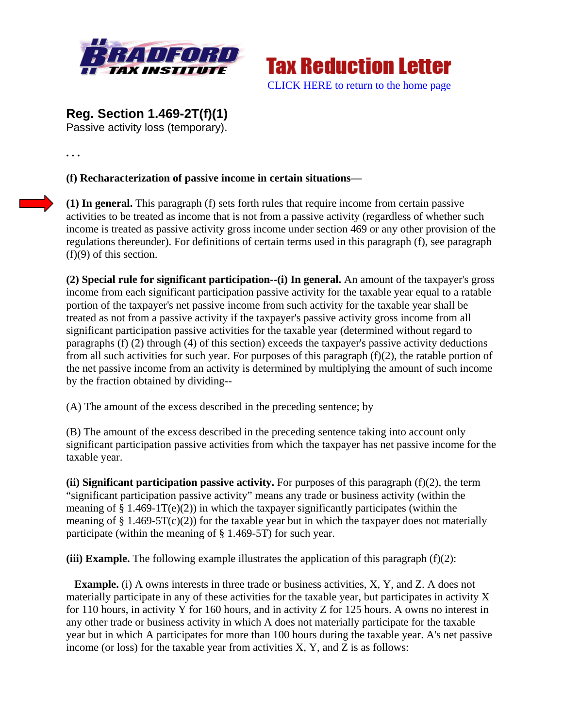



**Reg. Section 1.469-2T(f)(1)** 

Passive activity loss (temporary).

**. . .** 

**(f) Recharacterization of passive income in certain situations—** 

**(1) In general.** This paragraph (f) sets forth rules that require income from certain passive activities to be treated as income that is not from a passive activity (regardless of whether such income is treated as passive activity gross income under section 469 or any other provision of the regulations thereunder). For definitions of certain terms used in this paragraph (f), see paragraph (f)(9) of this section.

**(2) Special rule for significant participation--(i) In general.** An amount of the taxpayer's gross income from each significant participation passive activity for the taxable year equal to a ratable portion of the taxpayer's net passive income from such activity for the taxable year shall be treated as not from a passive activity if the taxpayer's passive activity gross income from all significant participation passive activities for the taxable year (determined without regard to paragraphs (f) (2) through (4) of this section) exceeds the taxpayer's passive activity deductions from all such activities for such year. For purposes of this paragraph (f)(2), the ratable portion of the net passive income from an activity is determined by multiplying the amount of such income by the fraction obtained by dividing--

(A) The amount of the excess described in the preceding sentence; by

(B) The amount of the excess described in the preceding sentence taking into account only significant participation passive activities from which the taxpayer has net passive income for the taxable year.

**(ii) Significant participation passive activity.** For purposes of this paragraph (f)(2), the term "significant participation passive activity" means any trade or business activity (within the meaning of  $\S 1.469-1T(e)(2)$ ) in which the taxpayer significantly participates (within the meaning of  $\S 1.469-5T(c)(2)$  for the taxable year but in which the taxpayer does not materially participate (within the meaning of § 1.469-5T) for such year.

**(iii) Example.** The following example illustrates the application of this paragraph (f)(2):

**Example.** (i) A owns interests in three trade or business activities, X, Y, and Z. A does not materially participate in any of these activities for the taxable year, but participates in activity X for 110 hours, in activity Y for 160 hours, and in activity Z for 125 hours. A owns no interest in any other trade or business activity in which A does not materially participate for the taxable year but in which A participates for more than 100 hours during the taxable year. A's net passive income (or loss) for the taxable year from activities X, Y, and Z is as follows: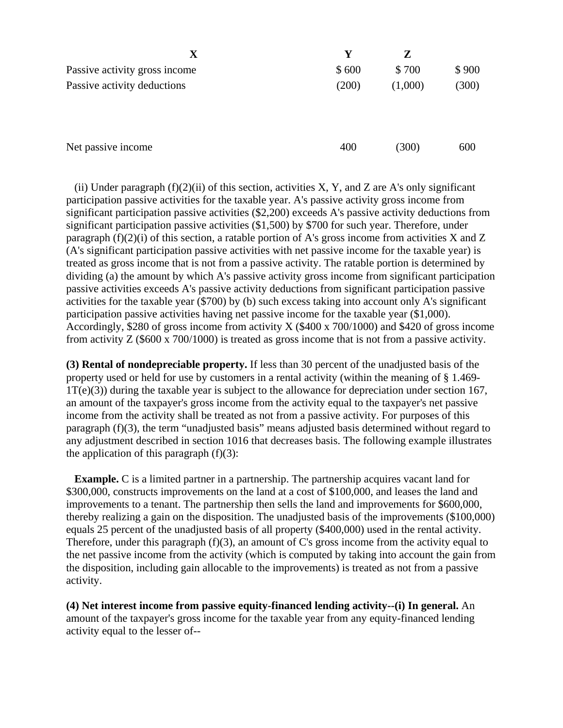| $\mathbf X$                   | Y     | Z       |       |
|-------------------------------|-------|---------|-------|
| Passive activity gross income | \$600 | \$700   | \$900 |
| Passive activity deductions   | (200) | (1,000) | (300) |
| Net passive income            | 400   | (300)   | 600   |

(ii) Under paragraph  $(f)(2)(ii)$  of this section, activities X, Y, and Z are A's only significant participation passive activities for the taxable year. A's passive activity gross income from significant participation passive activities (\$2,200) exceeds A's passive activity deductions from significant participation passive activities (\$1,500) by \$700 for such year. Therefore, under paragraph  $(f)(2)(i)$  of this section, a ratable portion of A's gross income from activities X and Z (A's significant participation passive activities with net passive income for the taxable year) is treated as gross income that is not from a passive activity. The ratable portion is determined by dividing (a) the amount by which A's passive activity gross income from significant participation passive activities exceeds A's passive activity deductions from significant participation passive activities for the taxable year (\$700) by (b) such excess taking into account only A's significant participation passive activities having net passive income for the taxable year (\$1,000). Accordingly, \$280 of gross income from activity X (\$400 x 700/1000) and \$420 of gross income from activity Z (\$600 x 700/1000) is treated as gross income that is not from a passive activity.

**(3) Rental of nondepreciable property.** If less than 30 percent of the unadjusted basis of the property used or held for use by customers in a rental activity (within the meaning of § 1.469- 1T(e)(3)) during the taxable year is subject to the allowance for depreciation under section 167, an amount of the taxpayer's gross income from the activity equal to the taxpayer's net passive income from the activity shall be treated as not from a passive activity. For purposes of this paragraph (f)(3), the term "unadjusted basis" means adjusted basis determined without regard to any adjustment described in section 1016 that decreases basis. The following example illustrates the application of this paragraph  $(f)(3)$ :

**Example.** C is a limited partner in a partnership. The partnership acquires vacant land for \$300,000, constructs improvements on the land at a cost of \$100,000, and leases the land and improvements to a tenant. The partnership then sells the land and improvements for \$600,000, thereby realizing a gain on the disposition. The unadjusted basis of the improvements (\$100,000) equals 25 percent of the unadjusted basis of all property (\$400,000) used in the rental activity. Therefore, under this paragraph (f)(3), an amount of C's gross income from the activity equal to the net passive income from the activity (which is computed by taking into account the gain from the disposition, including gain allocable to the improvements) is treated as not from a passive activity.

**(4) Net interest income from passive equity-financed lending activity--(i) In general.** An amount of the taxpayer's gross income for the taxable year from any equity-financed lending activity equal to the lesser of--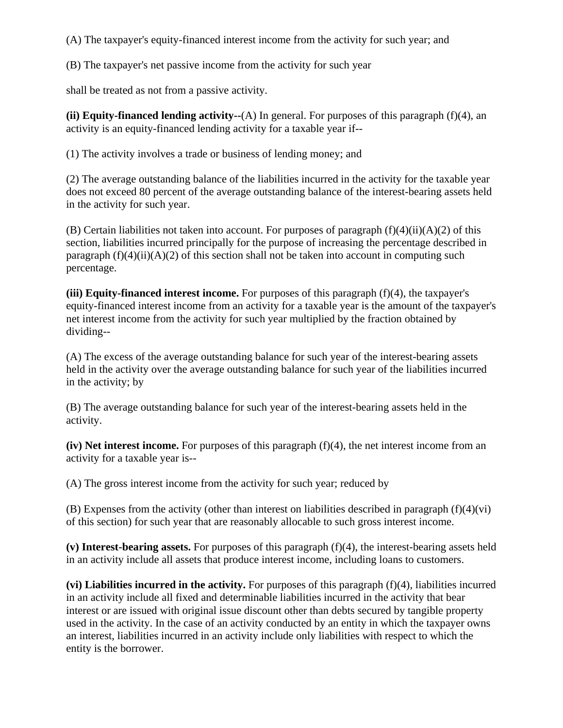(A) The taxpayer's equity-financed interest income from the activity for such year; and

(B) The taxpayer's net passive income from the activity for such year

shall be treated as not from a passive activity.

**(ii) Equity-financed lending activity--**(A) In general. For purposes of this paragraph (f)(4), an activity is an equity-financed lending activity for a taxable year if--

(1) The activity involves a trade or business of lending money; and

(2) The average outstanding balance of the liabilities incurred in the activity for the taxable year does not exceed 80 percent of the average outstanding balance of the interest-bearing assets held in the activity for such year.

(B) Certain liabilities not taken into account. For purposes of paragraph  $(f)(4)(ii)(A)(2)$  of this section, liabilities incurred principally for the purpose of increasing the percentage described in paragraph  $(f)(4)(ii)(A)(2)$  of this section shall not be taken into account in computing such percentage.

**(iii) Equity-financed interest income.** For purposes of this paragraph (f)(4), the taxpayer's equity-financed interest income from an activity for a taxable year is the amount of the taxpayer's net interest income from the activity for such year multiplied by the fraction obtained by dividing--

(A) The excess of the average outstanding balance for such year of the interest-bearing assets held in the activity over the average outstanding balance for such year of the liabilities incurred in the activity; by

(B) The average outstanding balance for such year of the interest-bearing assets held in the activity.

**(iv) Net interest income.** For purposes of this paragraph (f)(4), the net interest income from an activity for a taxable year is--

(A) The gross interest income from the activity for such year; reduced by

 $(B)$  Expenses from the activity (other than interest on liabilities described in paragraph  $(f)(4)(vi)$ ) of this section) for such year that are reasonably allocable to such gross interest income.

**(v) Interest-bearing assets.** For purposes of this paragraph (f)(4), the interest-bearing assets held in an activity include all assets that produce interest income, including loans to customers.

**(vi) Liabilities incurred in the activity.** For purposes of this paragraph (f)(4), liabilities incurred in an activity include all fixed and determinable liabilities incurred in the activity that bear interest or are issued with original issue discount other than debts secured by tangible property used in the activity. In the case of an activity conducted by an entity in which the taxpayer owns an interest, liabilities incurred in an activity include only liabilities with respect to which the entity is the borrower.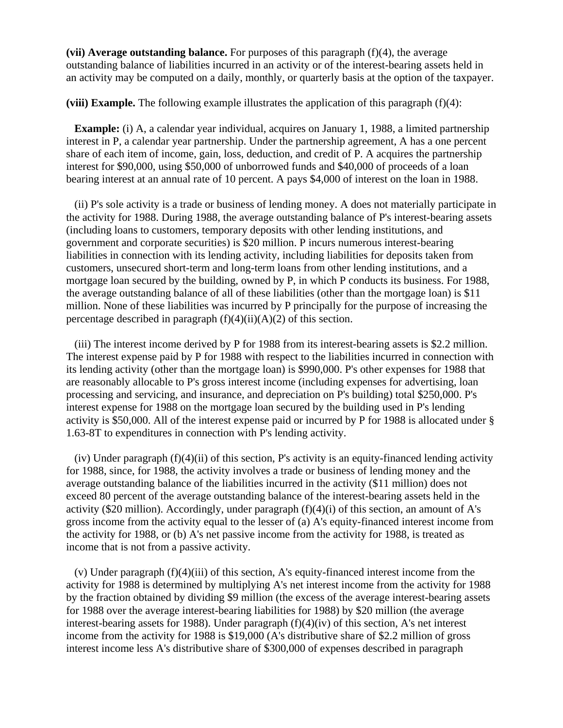**(vii) Average outstanding balance.** For purposes of this paragraph  $(f)(4)$ , the average outstanding balance of liabilities incurred in an activity or of the interest-bearing assets held in an activity may be computed on a daily, monthly, or quarterly basis at the option of the taxpayer.

**(viii) Example.** The following example illustrates the application of this paragraph (f)(4):

**Example:** (i) A, a calendar year individual, acquires on January 1, 1988, a limited partnership interest in P, a calendar year partnership. Under the partnership agreement, A has a one percent share of each item of income, gain, loss, deduction, and credit of P. A acquires the partnership interest for \$90,000, using \$50,000 of unborrowed funds and \$40,000 of proceeds of a loan bearing interest at an annual rate of 10 percent. A pays \$4,000 of interest on the loan in 1988.

(ii) P's sole activity is a trade or business of lending money. A does not materially participate in the activity for 1988. During 1988, the average outstanding balance of P's interest-bearing assets (including loans to customers, temporary deposits with other lending institutions, and government and corporate securities) is \$20 million. P incurs numerous interest-bearing liabilities in connection with its lending activity, including liabilities for deposits taken from customers, unsecured short-term and long-term loans from other lending institutions, and a mortgage loan secured by the building, owned by P, in which P conducts its business. For 1988, the average outstanding balance of all of these liabilities (other than the mortgage loan) is \$11 million. None of these liabilities was incurred by P principally for the purpose of increasing the percentage described in paragraph  $(f)(4)(ii)(A)(2)$  of this section.

(iii) The interest income derived by P for 1988 from its interest-bearing assets is \$2.2 million. The interest expense paid by P for 1988 with respect to the liabilities incurred in connection with its lending activity (other than the mortgage loan) is \$990,000. P's other expenses for 1988 that are reasonably allocable to P's gross interest income (including expenses for advertising, loan processing and servicing, and insurance, and depreciation on P's building) total \$250,000. P's interest expense for 1988 on the mortgage loan secured by the building used in P's lending activity is \$50,000. All of the interest expense paid or incurred by P for 1988 is allocated under § 1.63-8T to expenditures in connection with P's lending activity.

(iv) Under paragraph (f)(4)(ii) of this section, P's activity is an equity-financed lending activity for 1988, since, for 1988, the activity involves a trade or business of lending money and the average outstanding balance of the liabilities incurred in the activity (\$11 million) does not exceed 80 percent of the average outstanding balance of the interest-bearing assets held in the activity (\$20 million). Accordingly, under paragraph  $(f)(4)(i)$  of this section, an amount of A's gross income from the activity equal to the lesser of (a) A's equity-financed interest income from the activity for 1988, or (b) A's net passive income from the activity for 1988, is treated as income that is not from a passive activity.

(v) Under paragraph  $(f)(4)(iii)$  of this section, A's equity-financed interest income from the activity for 1988 is determined by multiplying A's net interest income from the activity for 1988 by the fraction obtained by dividing \$9 million (the excess of the average interest-bearing assets for 1988 over the average interest-bearing liabilities for 1988) by \$20 million (the average interest-bearing assets for 1988). Under paragraph (f)(4)(iv) of this section, A's net interest income from the activity for 1988 is \$19,000 (A's distributive share of \$2.2 million of gross interest income less A's distributive share of \$300,000 of expenses described in paragraph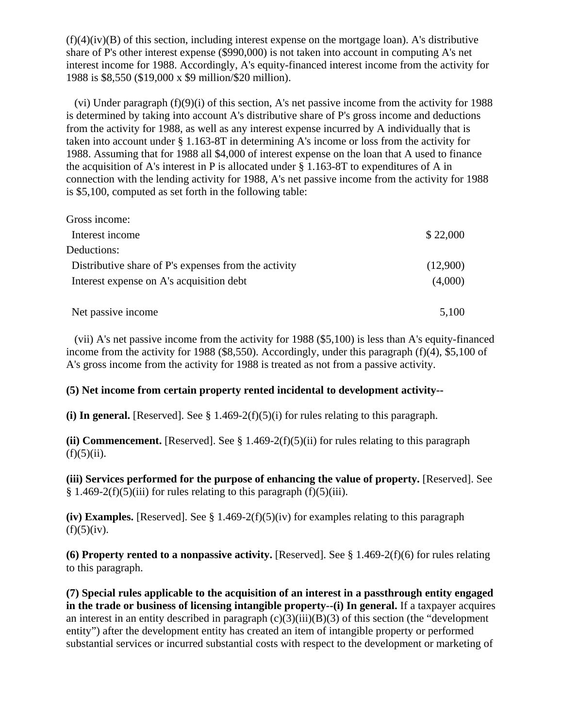$(f)(4)(iv)(B)$  of this section, including interest expense on the mortgage loan). A's distributive share of P's other interest expense (\$990,000) is not taken into account in computing A's net interest income for 1988. Accordingly, A's equity-financed interest income from the activity for 1988 is \$8,550 (\$19,000 x \$9 million/\$20 million).

(vi) Under paragraph (f)(9)(i) of this section, A's net passive income from the activity for 1988 is determined by taking into account A's distributive share of P's gross income and deductions from the activity for 1988, as well as any interest expense incurred by A individually that is taken into account under § 1.163-8T in determining A's income or loss from the activity for 1988. Assuming that for 1988 all \$4,000 of interest expense on the loan that A used to finance the acquisition of A's interest in P is allocated under § 1.163-8T to expenditures of A in connection with the lending activity for 1988, A's net passive income from the activity for 1988 is \$5,100, computed as set forth in the following table:

| Gross income:                                        |          |
|------------------------------------------------------|----------|
| Interest income                                      | \$22,000 |
| Deductions:                                          |          |
| Distributive share of P's expenses from the activity | (12,900) |
| Interest expense on A's acquisition debt             | (4,000)  |
| Net passive income                                   | 5,100    |

(vii) A's net passive income from the activity for 1988 (\$5,100) is less than A's equity-financed income from the activity for 1988 (\$8,550). Accordingly, under this paragraph (f)(4), \$5,100 of A's gross income from the activity for 1988 is treated as not from a passive activity.

## **(5) Net income from certain property rented incidental to development activity--**

(i) In general. [Reserved]. See  $\S 1.469-2(f)(5)(i)$  for rules relating to this paragraph.

**(ii) Commencement.** [Reserved]. See § 1.469-2(f)(5)(ii) for rules relating to this paragraph  $(f)(5)(ii)$ .

**(iii) Services performed for the purpose of enhancing the value of property.** [Reserved]. See § 1.469-2(f)(5)(iii) for rules relating to this paragraph (f)(5)(iii).

**(iv) Examples.** [Reserved]. See § 1.469-2(f)(5)(iv) for examples relating to this paragraph  $(f)(5)(iv)$ .

**(6) Property rented to a nonpassive activity.** [Reserved]. See § 1.469-2(f)(6) for rules relating to this paragraph.

**(7) Special rules applicable to the acquisition of an interest in a passthrough entity engaged in the trade or business of licensing intangible property--(i) In general.** If a taxpayer acquires an interest in an entity described in paragraph  $(c)(3)(iii)(B)(3)$  of this section (the "development" entity") after the development entity has created an item of intangible property or performed substantial services or incurred substantial costs with respect to the development or marketing of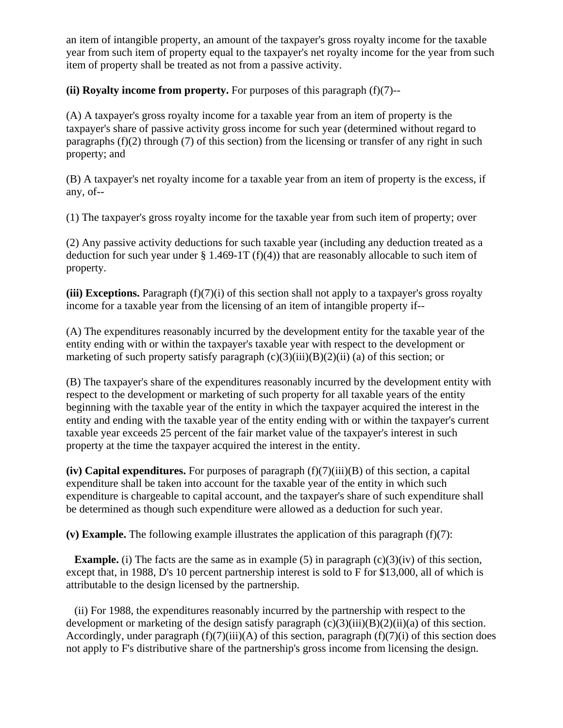an item of intangible property, an amount of the taxpayer's gross royalty income for the taxable year from such item of property equal to the taxpayer's net royalty income for the year from such item of property shall be treated as not from a passive activity.

**(ii) Royalty income from property.** For purposes of this paragraph (f)(7)--

(A) A taxpayer's gross royalty income for a taxable year from an item of property is the taxpayer's share of passive activity gross income for such year (determined without regard to paragraphs  $(f)(2)$  through (7) of this section) from the licensing or transfer of any right in such property; and

(B) A taxpayer's net royalty income for a taxable year from an item of property is the excess, if any, of--

(1) The taxpayer's gross royalty income for the taxable year from such item of property; over

(2) Any passive activity deductions for such taxable year (including any deduction treated as a deduction for such year under  $\S 1.469-1T (f)(4)$  that are reasonably allocable to such item of property.

**(iii) Exceptions.** Paragraph (f)(7)(i) of this section shall not apply to a taxpayer's gross royalty income for a taxable year from the licensing of an item of intangible property if--

(A) The expenditures reasonably incurred by the development entity for the taxable year of the entity ending with or within the taxpayer's taxable year with respect to the development or marketing of such property satisfy paragraph  $(c)(3)(iii)(B)(2)(ii)$  (a) of this section; or

(B) The taxpayer's share of the expenditures reasonably incurred by the development entity with respect to the development or marketing of such property for all taxable years of the entity beginning with the taxable year of the entity in which the taxpayer acquired the interest in the entity and ending with the taxable year of the entity ending with or within the taxpayer's current taxable year exceeds 25 percent of the fair market value of the taxpayer's interest in such property at the time the taxpayer acquired the interest in the entity.

 $(iv)$  Capital expenditures. For purposes of paragraph  $(f)(7)(iii)(B)$  of this section, a capital expenditure shall be taken into account for the taxable year of the entity in which such expenditure is chargeable to capital account, and the taxpayer's share of such expenditure shall be determined as though such expenditure were allowed as a deduction for such year.

**(v) Example.** The following example illustrates the application of this paragraph (f)(7):

**Example.** (i) The facts are the same as in example (5) in paragraph  $(c)(3)(iv)$  of this section, except that, in 1988, D's 10 percent partnership interest is sold to F for \$13,000, all of which is attributable to the design licensed by the partnership.

(ii) For 1988, the expenditures reasonably incurred by the partnership with respect to the development or marketing of the design satisfy paragraph  $(c)(3)(iii)(B)(2)(ii)(a)$  of this section. Accordingly, under paragraph  $(f)(7)(iii)(A)$  of this section, paragraph  $(f)(7)(i)$  of this section does not apply to F's distributive share of the partnership's gross income from licensing the design.